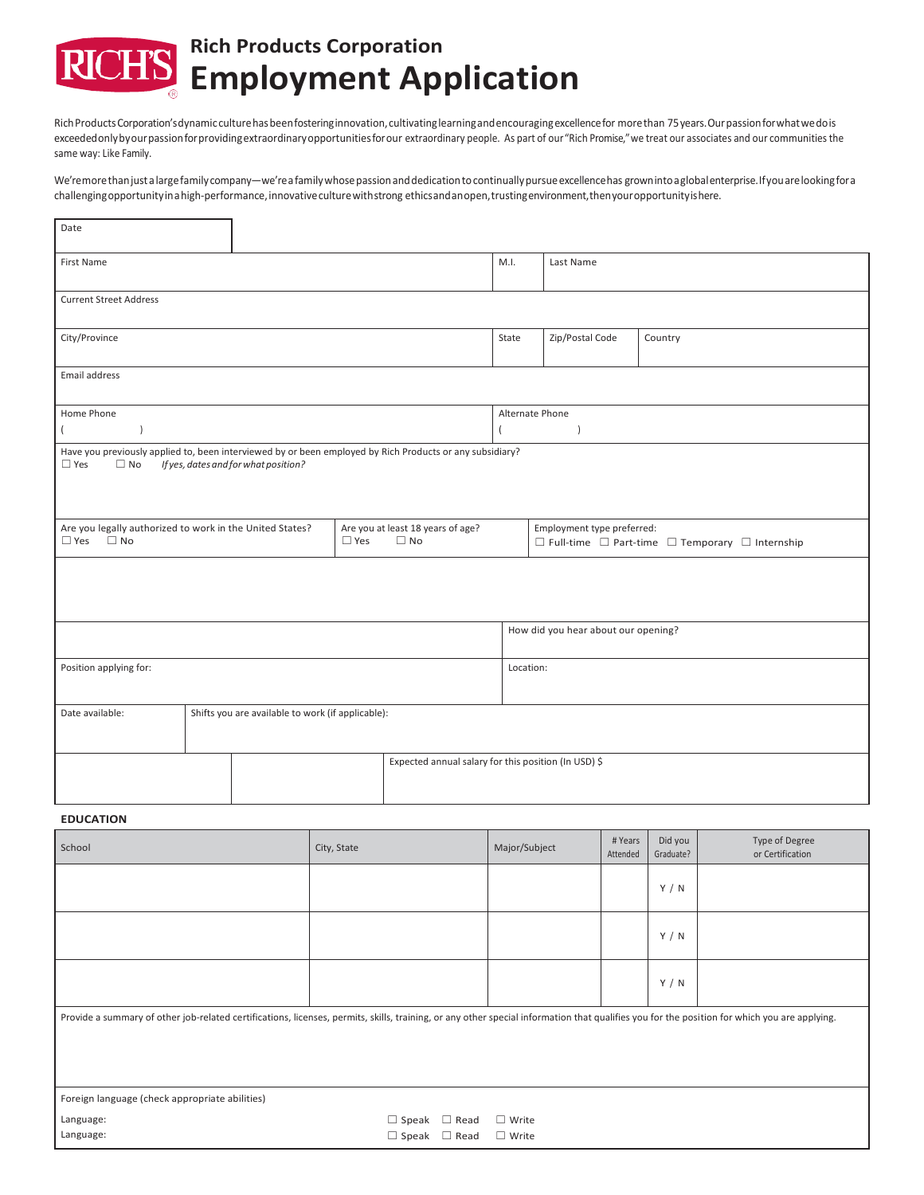# **Rich Products Corporation RICH'S** Employment Application

Rich Products Corporation's dynamic culture has been fostering innovation, cultivating learning and encouraging excellence for more than 75 years. Our passion for what we do is exceeded onlybyour passion for providing extraordinary opportunities for our extraordinary people. As part of our "Rich Promise," we treat our associates and our communities the same way: Like Family.

We'remore than just a large family company—we're a family whose passion and dedication to continually pursue excellence has grown into a global enterprise. If you are looking for a challengingopportunityinahigh-performance,innovativeculturewithstrong ethicsandanopen,trustingenvironment,thenyouropportunityishere.

| Date                                                                                                                                                                        |                                                   |  |               |                                                |       |                                                                                                    |         |  |
|-----------------------------------------------------------------------------------------------------------------------------------------------------------------------------|---------------------------------------------------|--|---------------|------------------------------------------------|-------|----------------------------------------------------------------------------------------------------|---------|--|
| First Name                                                                                                                                                                  |                                                   |  |               |                                                | M.I.  | Last Name                                                                                          |         |  |
| <b>Current Street Address</b>                                                                                                                                               |                                                   |  |               |                                                |       |                                                                                                    |         |  |
| City/Province                                                                                                                                                               |                                                   |  |               |                                                | State | Zip/Postal Code                                                                                    | Country |  |
| Email address                                                                                                                                                               |                                                   |  |               |                                                |       |                                                                                                    |         |  |
| Home Phone<br>$\lambda$<br>$\left($                                                                                                                                         |                                                   |  |               | Alternate Phone                                |       |                                                                                                    |         |  |
| Have you previously applied to, been interviewed by or been employed by Rich Products or any subsidiary?<br>$\Box$ Yes<br>$\Box$ No<br>If yes, dates and for what position? |                                                   |  |               |                                                |       |                                                                                                    |         |  |
| Are you legally authorized to work in the United States?<br>$\Box$ Yes $\Box$ No                                                                                            |                                                   |  | $\square$ Yes | Are you at least 18 years of age?<br>$\Box$ No |       | Employment type preferred:<br>$\Box$ Full-time $\Box$ Part-time $\Box$ Temporary $\Box$ Internship |         |  |
|                                                                                                                                                                             |                                                   |  |               |                                                |       |                                                                                                    |         |  |
|                                                                                                                                                                             |                                                   |  |               | How did you hear about our opening?            |       |                                                                                                    |         |  |
| Position applying for:                                                                                                                                                      |                                                   |  |               | Location:                                      |       |                                                                                                    |         |  |
| Date available:                                                                                                                                                             | Shifts you are available to work (if applicable): |  |               |                                                |       |                                                                                                    |         |  |
| Expected annual salary for this position (In USD) \$                                                                                                                        |                                                   |  |               |                                                |       |                                                                                                    |         |  |

## **EDUCATION**

 $\mathbf{r}$ 

| School                                                                                                                                                                                       | City, State              | Major/Subject   | # Years<br>Attended | Did you<br>Graduate? | Type of Degree<br>or Certification |  |  |  |  |
|----------------------------------------------------------------------------------------------------------------------------------------------------------------------------------------------|--------------------------|-----------------|---------------------|----------------------|------------------------------------|--|--|--|--|
|                                                                                                                                                                                              |                          |                 |                     | Y / N                |                                    |  |  |  |  |
|                                                                                                                                                                                              |                          |                 |                     | Y / N                |                                    |  |  |  |  |
|                                                                                                                                                                                              |                          |                 |                     | Y / N                |                                    |  |  |  |  |
| Provide a summary of other job-related certifications, licenses, permits, skills, training, or any other special information that qualifies you for the position for which you are applying. |                          |                 |                     |                      |                                    |  |  |  |  |
| Foreign language (check appropriate abilities)                                                                                                                                               |                          |                 |                     |                      |                                    |  |  |  |  |
| Language:                                                                                                                                                                                    | $\Box$ Speak $\Box$ Read | $\square$ Write |                     |                      |                                    |  |  |  |  |
| Language:                                                                                                                                                                                    | $\Box$ Speak $\Box$ Read | $\Box$ Write    |                     |                      |                                    |  |  |  |  |